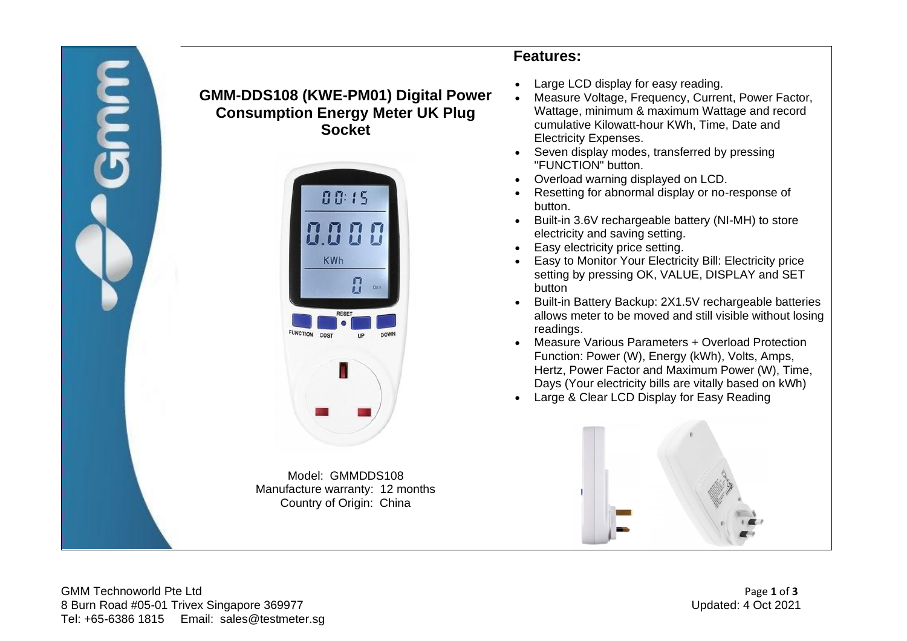





Model: GMMDDS108 Manufacture warranty: 12 months Country of Origin: China

## **Features:**

- Large LCD display for easy reading.
- Measure Voltage, Frequency, Current, Power Factor, Wattage, minimum & maximum Wattage and record cumulative Kilowatt-hour KWh, Time, Date and Electricity Expenses.
- Seven display modes, transferred by pressing "FUNCTION" button.
- Overload warning displayed on LCD.
- Resetting for abnormal display or no-response of button.
- Built-in 3.6V rechargeable battery (NI-MH) to store electricity and saving setting.
- Easy electricity price setting.
- Easy to Monitor Your Electricity Bill: Electricity price setting by pressing OK, VALUE, DISPLAY and SET button
- Built-in Battery Backup: 2X1.5V rechargeable batteries allows meter to be moved and still visible without losing readings.
- Measure Various Parameters + Overload Protection Function: Power (W), Energy (kWh), Volts, Amps, Hertz, Power Factor and Maximum Power (W), Time, Days (Your electricity bills are vitally based on kWh)
- Large & Clear LCD Display for Easy Reading



GMM Technoworld Pte Ltd Page 1 of 3 8 Burn Road #05-01 Trivex Singapore 369977 Updated: 4 Oct 2021 Tel: +65-6386 1815 Email: sales@testmeter.sg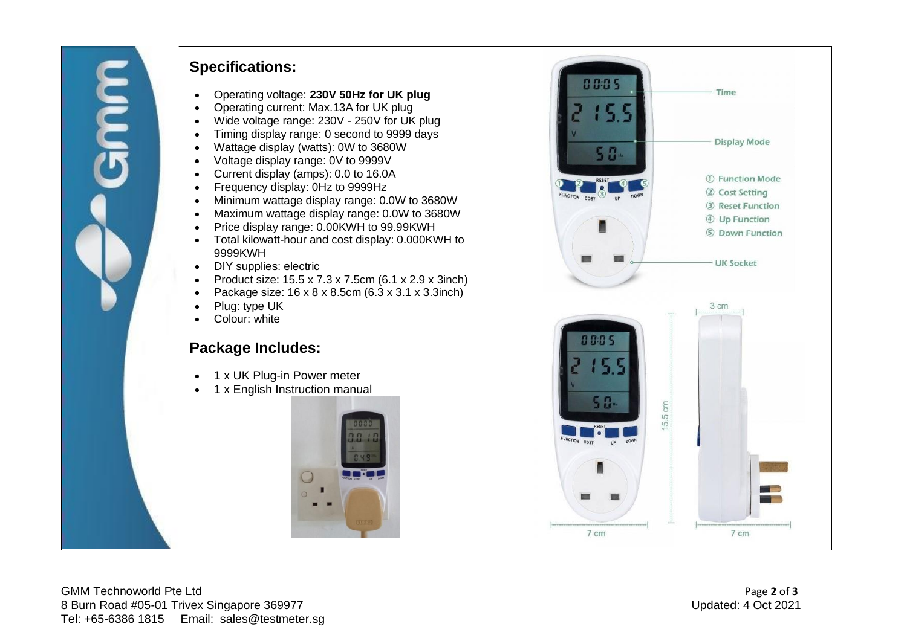

## **Specifications:**

- Operating voltage: **230V 50Hz for UK plug**
- Operating current: Max.13A for UK plug
- Wide voltage range: 230V 250V for UK plug
- Timing display range: 0 second to 9999 days
- Wattage display (watts): 0W to 3680W
- Voltage display range: 0V to 9999V
- Current display (amps): 0.0 to 16.0A
- Frequency display: 0Hz to 9999Hz
- Minimum wattage display range: 0.0W to 3680W
- Maximum wattage display range: 0.0W to 3680W
- Price display range: 0.00KWH to 99.99KWH
- Total kilowatt-hour and cost display: 0.000KWH to 9999KWH
- DIY supplies: electric
- Product size: 15.5 x 7.3 x 7.5cm (6.1 x 2.9 x 3inch)
- Package size: 16 x 8 x 8.5cm (6.3 x 3.1 x 3.3inch)
- Plug: type UK
- Colour: white

## **Package Includes:**

- 1 x UK Plug-in Power meter
- 1 x English Instruction manual